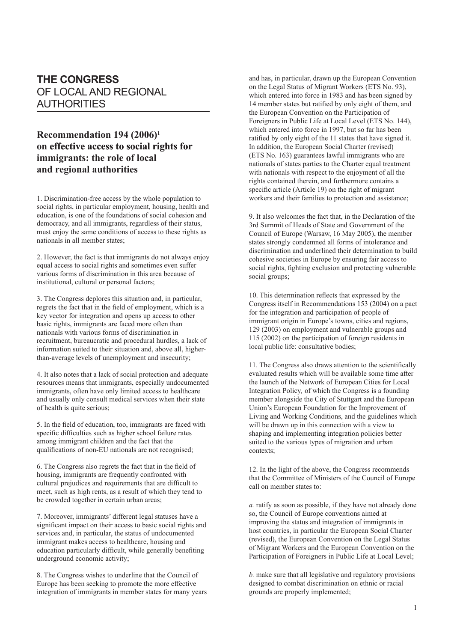## **THE CONGRESS** OF LOCAL AND REGIONAL AUTHORITIES

## **Recommendation 194 (2006)1 on e��ffecti�ve acce�ss to �socia�� �l ri��ghts �for immigrants: the role of local and regional authorities**

1. Discrimination-free access by the whole population to social rights, in particular employment, housing, health and education, is one of the foundations of social cohesion and democracy, and all immigrants, regardless of their status, must enjoy the same conditions of access to these rights as nationals in all member states;

2. However, the fact is that immigrants do not always enjoy equal access to social rights and sometimes even suffer various forms of discrimination in this area because of institutional, cultural or personal factors;

3. The Congress deplores this situation and, in particular, regrets the fact that in the field of employment, which is a key vector for integration and opens up access to other basic rights, immigrants are faced more often than nationals with various forms of discrimination in recruitment, bureaucratic and procedural hurdles, a lack of information suited to their situation and, above all, higherthan-average levels of unemployment and insecurity;

4. It also notes that a lack of social protection and adequate resources means that immigrants, especially undocumented immigrants, often have only limited access to healthcare and usually only consult medical services when their state of health is quite serious;

5. In the field of education, too, immigrants are faced with specific difficulties such as higher school failure rates among immigrant children and the fact that the qualifications of non-EU nationals are not recognised;

6. The Congress also regrets the fact that in the field of housing, immigrants are frequently confronted with cultural prejudices and requirements that are difficult to meet, such as high rents, as a result of which they tend to be crowded together in certain urban areas;

7. Moreover, immigrants' different legal statuses have a significant impact on their access to basic social rights and services and, in particular, the status of undocumented immigrant makes access to healthcare, housing and education particularly difficult, while generally benefiting underground economic activity;

8. The Congress wishes to underline that the Council of Europe has been seeking to promote the more effective integration of immigrants in member states for many years and has, in particular, drawn up the European Convention on the Legal Status of Migrant Workers (ETS No. 93), which entered into force in 1983 and has been signed by 14 member states but ratified by only eight of them, and the European Convention on the Participation of Foreigners in Public Life at Local Level (ETS No. 144), which entered into force in 1997, but so far has been ratified by only eight of the 11 states that have signed it. In addition, the European Social Charter (revised) (ETS No. 163) guarantees lawful immigrants who are nationals of states parties to the Charter equal treatment with nationals with respect to the enjoyment of all the rights contained therein, and furthermore contains a specific article (Article 19) on the right of migrant workers and their families to protection and assistance;

9. It also welcomes the fact that, in the Declaration of the 3rd Summit of Heads of State and Government of the Council of Europe (Warsaw, 16 May 2005), the member states strongly condemned all forms of intolerance and discrimination and underlined their determination to build cohesive societies in Europe by ensuring fair access to social rights, fighting exclusion and protecting vulnerable social groups;

10. This determination reflects that expressed by the Congress itself in Recommendations 153 (2004) on a pact for the integration and participation of people of immigrant origin in Europe's towns, cities and regions, 129 (2003) on employment and vulnerable groups and 115 (2002) on the participation of foreign residents in local public life: consultative bodies;

11. The Congress also draws attention to the scientifically evaluated results which will be available some time after the launch of the Network of European Cities for Local Integration Policy*,* of which the Congress is a founding member alongside the City of Stuttgart and the European Union's European Foundation for the Improvement of Living and Working Conditions, and the guidelines which will be drawn up in this connection with a view to shaping and implementing integration policies better suited to the various types of migration and urban contexts;

12. In the light of the above, the Congress recommends that the Committee of Ministers of the Council of Europe call on member states to:

*a.* ratify as soon as possible, if they have not already done so, the Council of Europe conventions aimed at improving the status and integration of immigrants in host countries, in particular the European Social Charter (revised), the European Convention on the Legal Status of Migrant Workers and the European Convention on the Participation of Foreigners in Public Life at Local Level;

*b.* make sure that all legislative and regulatory provisions designed to combat discrimination on ethnic or racial grounds are properly implemented;